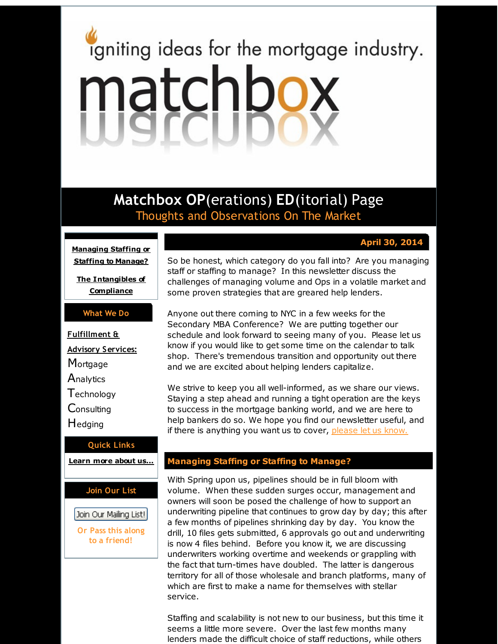# <span id="page-0-0"></span>igniting ideas for the mortgage industry. matchbox

**Matchbox OP**(erations) **ED**(itorial) Page Thoughts and Observations On The Market

# **April 30, 2014**

**[Managing](#page-0-0) Staffing or Staffing to Manage?**

**The [Intangibles](#page-0-0) of Compliance**

### **What We Do**

**Fulfillment & Advisory Services: Mortgage Analytics T**echnology **Consulting** Hedging

#### **Quick Links**

**[Learn](http://r20.rs6.net/tn.jsp?f=001IdTPja0zk_l7vMYpzqO9gX54_0cAZ52bMWgnskFBSzIPJkgipbeIPrlM_533XcFH30Scqshun00X6IrQ-K3kaXg2aIHJ4x4aHsVYtOxk4Ko4MI_5cmd99UpzJMd9tFEkEfnFBDoBNn8cMKHiCTFwqo1fkZLUFnMQBgHZ4OLhNamwyqJc4AGuiA==&c=&ch=) more about u[s...](http://r20.rs6.net/tn.jsp?f=001IdTPja0zk_l7vMYpzqO9gX54_0cAZ52bMWgnskFBSzIPJkgipbeIPrlM_533XcFH30Scqshun00X6IrQ-K3kaXg2aIHJ4x4aHsVYtOxk4Ko4MI_5cmd99UpzJMd9tFEkEfnFBDoBNn8cMKHiCTFwqo1fkZLUFnMQBgHZ4OLhNamwyqJc4AGuiA==&c=&ch=)**

#### **Join Our List**

Join Our Mailing List!

**Or Pass this along to a friend!**

So be honest, which category do you fall into? Are you managing staff or staffing to manage? In this newsletter discuss the challenges of managing volume and Ops in a volatile market and some proven strategies that are greared help lenders.

Anyone out there coming to NYC in a few weeks for the Secondary MBA Conference? We are putting together our schedule and look forward to seeing many of you. Please let us know if you would like to get some time on the calendar to talk shop. There's tremendous transition and opportunity out there and we are excited about helping lenders capitalize.

We strive to keep you all well-informed, as we share our views. Staying a step ahead and running a tight operation are the keys to success in the mortgage banking world, and we are here to help bankers do so. We hope you find our newsletter useful, and if there is anything you want us to cover, [please](http://r20.rs6.net/tn.jsp?f=001IdTPja0zk_l7vMYpzqO9gX54_0cAZ52bMWgnskFBSzIPJkgipbeIPpQiKHrTgNIlO-aXL8VbVkcyc-uDYL20cHW8_CNgdb3HTRRVhP0oJq6kyOsvbVRPAvL9Qj96Vy0ufNIzyyLJb1HOMBaYerXQv9wmNLNdoqdmksH77-jiCCHRhhyceWdo7MGRYdXg5RFO&c=&ch=) let us know.

# **Managing Staffing or Staffing to Manage?**

With Spring upon us, pipelines should be in full bloom with volume. When these sudden surges occur, management and owners will soon be posed the challenge of how to support an underwriting pipeline that continues to grow day by day; this after a few months of pipelines shrinking day by day. You know the drill, 10 files gets submitted, 6 approvals go out and underwriting is now 4 files behind. Before you know it, we are discussing underwriters working overtime and weekends or grappling with the fact that turn-times have doubled. The latter is dangerous territory for all of those wholesale and branch platforms, many of which are first to make a name for themselves with stellar service.

Staffing and scalability is not new to our business, but this time it seems a little more severe. Over the last few months many lenders made the difficult choice of staff reductions, while others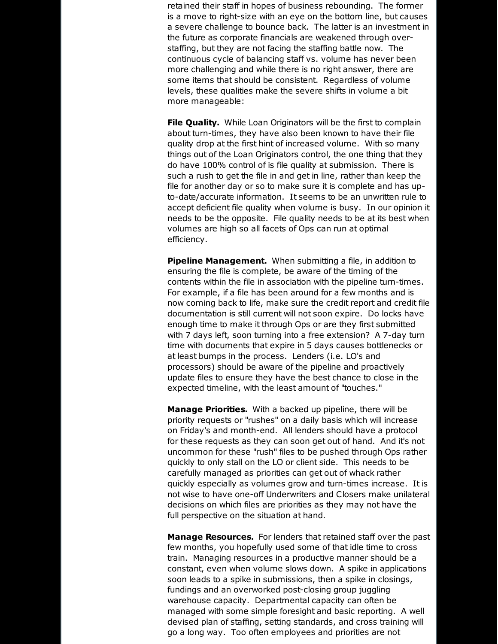retained their staff in hopes of business rebounding. The former is a move to right-size with an eye on the bottom line, but causes a severe challenge to bounce back. The latter is an investment in the future as corporate financials are weakened through overstaffing, but they are not facing the staffing battle now. The continuous cycle of balancing staff vs. volume has never been more challenging and while there is no right answer, there are some items that should be consistent. Regardless of volume levels, these qualities make the severe shifts in volume a bit more manageable:

**File Quality.** While Loan Originators will be the first to complain about turn-times, they have also been known to have their file quality drop at the first hint of increased volume. With so many things out of the Loan Originators control, the one thing that they do have 100% control of is file quality at submission. There is such a rush to get the file in and get in line, rather than keep the file for another day or so to make sure it is complete and has upto-date/accurate information. It seems to be an unwritten rule to accept deficient file quality when volume is busy. In our opinion it needs to be the opposite. File quality needs to be at its best when volumes are high so all facets of Ops can run at optimal efficiency.

**Pipeline Management.** When submitting a file, in addition to ensuring the file is complete, be aware of the timing of the contents within the file in association with the pipeline turn-times. For example, if a file has been around for a few months and is now coming back to life, make sure the credit report and credit file documentation is still current will not soon expire. Do locks have enough time to make it through Ops or are they first submitted with 7 days left, soon turning into a free extension? A 7-day turn time with documents that expire in 5 days causes bottlenecks or at least bumps in the process. Lenders (i.e. LO's and processors) should be aware of the pipeline and proactively update files to ensure they have the best chance to close in the expected timeline, with the least amount of "touches."

**Manage Priorities.** With a backed up pipeline, there will be priority requests or "rushes" on a daily basis which will increase on Friday's and month-end. All lenders should have a protocol for these requests as they can soon get out of hand. And it's not uncommon for these "rush" files to be pushed through Ops rather quickly to only stall on the LO or client side. This needs to be carefully managed as priorities can get out of whack rather quickly especially as volumes grow and turn-times increase. It is not wise to have one-off Underwriters and Closers make unilateral decisions on which files are priorities as they may not have the full perspective on the situation at hand.

**Manage Resources.** For lenders that retained staff over the past few months, you hopefully used some of that idle time to cross train. Managing resources in a productive manner should be a constant, even when volume slows down. A spike in applications soon leads to a spike in submissions, then a spike in closings, fundings and an overworked post-closing group juggling warehouse capacity. Departmental capacity can often be managed with some simple foresight and basic reporting. A well devised plan of staffing, setting standards, and cross training will go a long way. Too often employees and priorities are not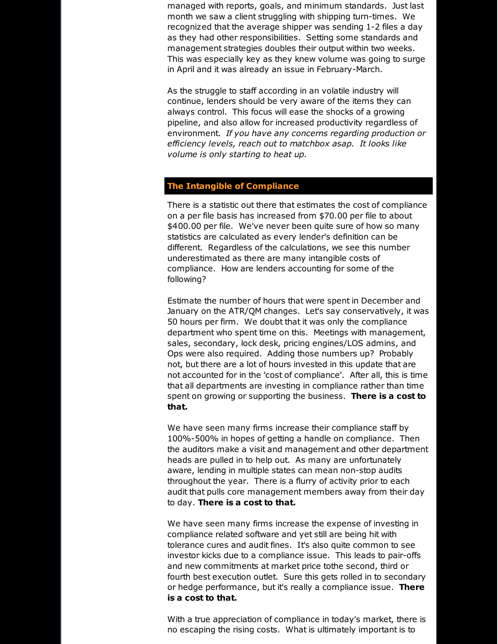managed with reports, goals, and minimum standards. Just last month we saw a client struggling with shipping turn-times. We recognized that the average shipper was sending 1-2 files a day as they had other responsibilities. Setting some standards and management strategies doubles their output within two weeks. This was especially key as they knew volume was going to surge in April and it was already an issue in February-March.

As the struggle to staff according in an volatile industry will continue, lenders should be very aware of the items they can always control. This focus will ease the shocks of a growing pipeline, and also allow for increased productivity regardless of environment. *If you have any concerns regarding production or efficiency levels, reach out to matchbox asap. It looks like volume is only starting to heat up.*

## **The Intangible of Compliance**

There is a statistic out there that estimates the cost of compliance on a per file basis has increased from \$70.00 per file to about \$400.00 per file. We've never been quite sure of how so many statistics are calculated as every lender's definition can be different. Regardless of the calculations, we see this number underestimated as there are many intangible costs of compliance. How are lenders accounting for some of the following?

Estimate the number of hours that were spent in December and January on the ATR/QM changes. Let's say conservatively, it was 50 hours per firm. We doubt that it was only the compliance department who spent time on this. Meetings with management, sales, secondary, lock desk, pricing engines/LOS admins, and Ops were also required. Adding those numbers up? Probably not, but there are a lot of hours invested in this update that are not accounted for in the 'cost of compliance'. After all, this is time that all departments are investing in compliance rather than time spent on growing or supporting the business. **There is a cost to that.**

We have seen many firms increase their compliance staff by 100%-500% in hopes of getting a handle on compliance. Then the auditors make a visit and management and other department heads are pulled in to help out. As many are unfortunately aware, lending in multiple states can mean non-stop audits throughout the year. There is a flurry of activity prior to each audit that pulls core management members away from their day to day. **There is a cost to that.**

We have seen many firms increase the expense of investing in compliance related software and yet still are being hit with tolerance cures and audit fines. It's also quite common to see investor kicks due to a compliance issue. This leads to pair-offs and new commitments at market price tothe second, third or fourth best execution outlet. Sure this gets rolled in to secondary or hedge performance, but it's really a compliance issue. **There is a cost to that.**

With a true appreciation of compliance in today's market, there is no escaping the rising costs. What is ultimately important is to